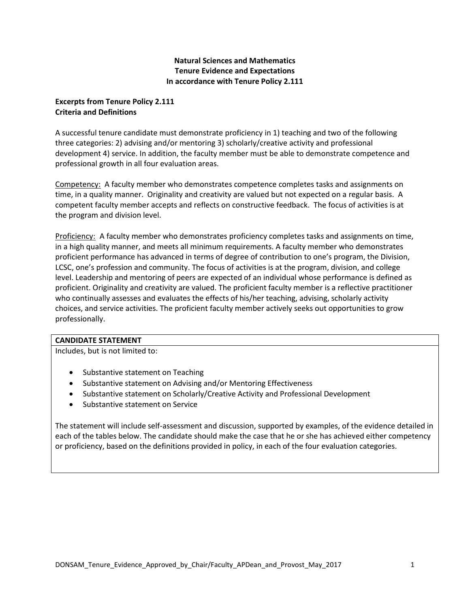## **Natural Sciences and Mathematics Tenure Evidence and Expectations In accordance with Tenure Policy 2.111**

## **Excerpts from Tenure Policy 2.111 Criteria and Definitions**

A successful tenure candidate must demonstrate proficiency in 1) teaching and two of the following three categories: 2) advising and/or mentoring 3) scholarly/creative activity and professional development 4) service. In addition, the faculty member must be able to demonstrate competence and professional growth in all four evaluation areas.

Competency: A faculty member who demonstrates competence completes tasks and assignments on time, in a quality manner. Originality and creativity are valued but not expected on a regular basis. A competent faculty member accepts and reflects on constructive feedback. The focus of activities is at the program and division level.

Proficiency: A faculty member who demonstrates proficiency completes tasks and assignments on time, in a high quality manner, and meets all minimum requirements. A faculty member who demonstrates proficient performance has advanced in terms of degree of contribution to one's program, the Division, LCSC, one's profession and community. The focus of activities is at the program, division, and college level. Leadership and mentoring of peers are expected of an individual whose performance is defined as proficient. Originality and creativity are valued. The proficient faculty member is a reflective practitioner who continually assesses and evaluates the effects of his/her teaching, advising, scholarly activity choices, and service activities. The proficient faculty member actively seeks out opportunities to grow professionally.

#### **CANDIDATE STATEMENT**

Includes, but is not limited to:

- Substantive statement on Teaching
- Substantive statement on Advising and/or Mentoring Effectiveness
- Substantive statement on Scholarly/Creative Activity and Professional Development
- Substantive statement on Service

The statement will include self-assessment and discussion, supported by examples, of the evidence detailed in each of the tables below. The candidate should make the case that he or she has achieved either competency or proficiency, based on the definitions provided in policy, in each of the four evaluation categories.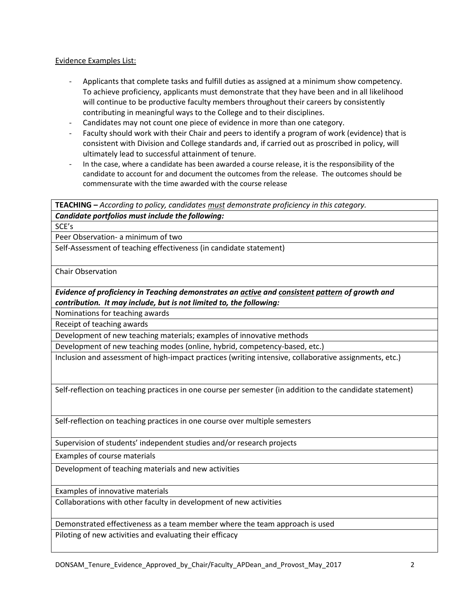#### Evidence Examples List:

- Applicants that complete tasks and fulfill duties as assigned at a minimum show competency. To achieve proficiency, applicants must demonstrate that they have been and in all likelihood will continue to be productive faculty members throughout their careers by consistently contributing in meaningful ways to the College and to their disciplines.
- Candidates may not count one piece of evidence in more than one category.
- Faculty should work with their Chair and peers to identify a program of work (evidence) that is consistent with Division and College standards and, if carried out as proscribed in policy, will ultimately lead to successful attainment of tenure.
- In the case, where a candidate has been awarded a course release, it is the responsibility of the candidate to account for and document the outcomes from the release. The outcomes should be commensurate with the time awarded with the course release

**TEACHING –** *According to policy, candidates must demonstrate proficiency in this category.*

*Candidate portfolios must include the following:*

SCE's

Peer Observation- a minimum of two

Self-Assessment of teaching effectiveness (in candidate statement)

Chair Observation

*Evidence of proficiency in Teaching demonstrates an active and consistent pattern of growth and contribution. It may include, but is not limited to, the following:*

Nominations for teaching awards

Receipt of teaching awards

Development of new teaching materials; examples of innovative methods

Development of new teaching modes (online, hybrid, competency-based, etc.)

Inclusion and assessment of high-impact practices (writing intensive, collaborative assignments, etc.)

Self-reflection on teaching practices in one course per semester (in addition to the candidate statement)

Self-reflection on teaching practices in one course over multiple semesters

Supervision of students' independent studies and/or research projects

Examples of course materials

Development of teaching materials and new activities

Examples of innovative materials

Collaborations with other faculty in development of new activities

Demonstrated effectiveness as a team member where the team approach is used Piloting of new activities and evaluating their efficacy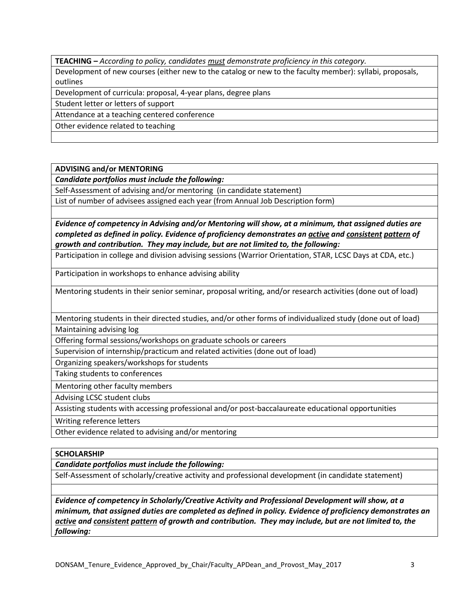**TEACHING –** *According to policy, candidates must demonstrate proficiency in this category.*

Development of new courses (either new to the catalog or new to the faculty member): syllabi, proposals, outlines

Development of curricula: proposal, 4-year plans, degree plans

Student letter or letters of support

Attendance at a teaching centered conference

Other evidence related to teaching

**ADVISING and/or MENTORING**

*Candidate portfolios must include the following:*

Self-Assessment of advising and/or mentoring (in candidate statement)

List of number of advisees assigned each year (from Annual Job Description form)

*Evidence of competency in Advising and/or Mentoring will show, at a minimum, that assigned duties are completed as defined in policy. Evidence of proficiency demonstrates an active and consistent pattern of growth and contribution. They may include, but are not limited to, the following:*

Participation in college and division advising sessions (Warrior Orientation, STAR, LCSC Days at CDA, etc.)

Participation in workshops to enhance advising ability

Mentoring students in their senior seminar, proposal writing, and/or research activities (done out of load)

Mentoring students in their directed studies, and/or other forms of individualized study (done out of load) Maintaining advising log

Offering formal sessions/workshops on graduate schools or careers

Supervision of internship/practicum and related activities (done out of load)

Organizing speakers/workshops for students

Taking students to conferences

Mentoring other faculty members

Advising LCSC student clubs

Assisting students with accessing professional and/or post-baccalaureate educational opportunities

Writing reference letters

Other evidence related to advising and/or mentoring

# **SCHOLARSHIP**

*Candidate portfolios must include the following:*

Self-Assessment of scholarly/creative activity and professional development (in candidate statement)

*Evidence of competency in Scholarly/Creative Activity and Professional Development will show, at a minimum, that assigned duties are completed as defined in policy. Evidence of proficiency demonstrates an active and consistent pattern of growth and contribution. They may include, but are not limited to, the following:*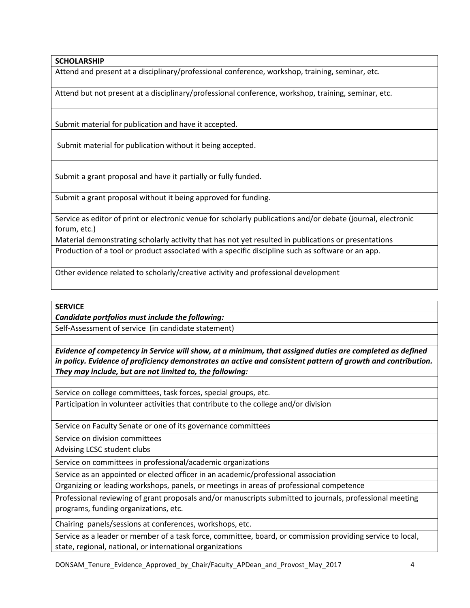## **SCHOLARSHIP**

Attend and present at a disciplinary/professional conference, workshop, training, seminar, etc.

Attend but not present at a disciplinary/professional conference, workshop, training, seminar, etc.

Submit material for publication and have it accepted.

Submit material for publication without it being accepted.

Submit a grant proposal and have it partially or fully funded.

Submit a grant proposal without it being approved for funding.

Service as editor of print or electronic venue for scholarly publications and/or debate (journal, electronic forum, etc.)

Material demonstrating scholarly activity that has not yet resulted in publications or presentations

Production of a tool or product associated with a specific discipline such as software or an app.

Other evidence related to scholarly/creative activity and professional development

**SERVICE**

*Candidate portfolios must include the following:*

Self-Assessment of service (in candidate statement)

*Evidence of competency in Service will show, at a minimum, that assigned duties are completed as defined in policy. Evidence of proficiency demonstrates an active and consistent pattern of growth and contribution. They may include, but are not limited to, the following:*

Service on college committees, task forces, special groups, etc.

Participation in volunteer activities that contribute to the college and/or division

Service on Faculty Senate or one of its governance committees

Service on division committees

Advising LCSC student clubs

Service on committees in professional/academic organizations

Service as an appointed or elected officer in an academic/professional association

Organizing or leading workshops, panels, or meetings in areas of professional competence

Professional reviewing of grant proposals and/or manuscripts submitted to journals, professional meeting programs, funding organizations, etc.

Chairing panels/sessions at conferences, workshops, etc.

Service as a leader or member of a task force, committee, board, or commission providing service to local, state, regional, national, or international organizations